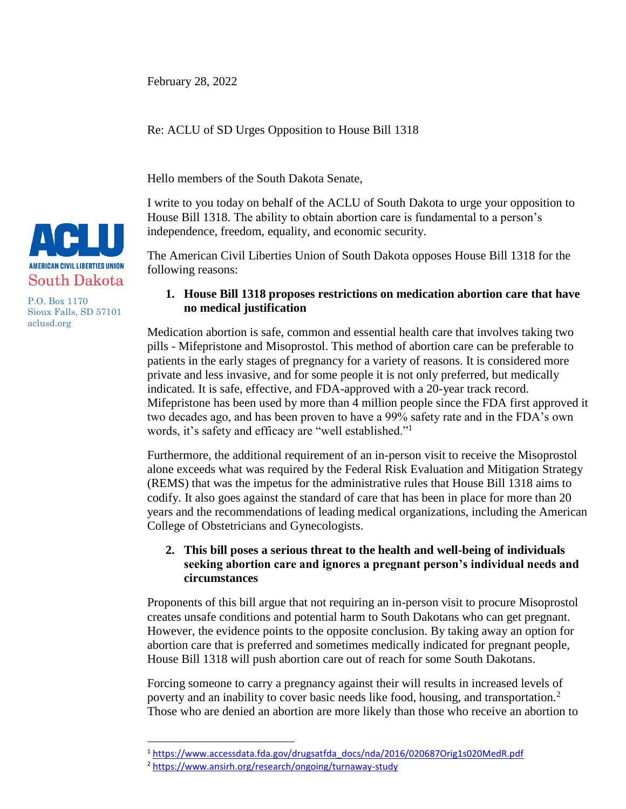February 28, 2022

Re: ACLU of SD Urges Opposition to House Bill 1318

Hello members of the South Dakota Senate,

I write to you today on behalf of the ACLU of South Dakota to urge your opposition to House Bill 1318. The ability to obtain abortion care is fundamental to a person's independence, freedom, equality, and economic security.

The American Civil Liberties Union of South Dakota opposes House Bill 1318 for the following reasons:

## **1. House Bill 1318 proposes restrictions on medication abortion care that have no medical justification**

Medication abortion is safe, common and essential health care that involves taking two pills - Mifepristone and Misoprostol. This method of abortion care can be preferable to patients in the early stages of pregnancy for a variety of reasons. It is considered more private and less invasive, and for some people it is not only preferred, but medically indicated. It is safe, effective, and FDA-approved with a 20-year track record. Mifepristone has been used by more than 4 million people since the FDA first approved it two decades ago, and has been proven to have a 99% safety rate and in the FDA's own words, it's safety and efficacy are "well established."<sup>1</sup>

Furthermore, the additional requirement of an in-person visit to receive the Misoprostol alone exceeds what was required by the Federal Risk Evaluation and Mitigation Strategy (REMS) that was the impetus for the administrative rules that House Bill 1318 aims to codify. It also goes against the standard of care that has been in place for more than 20 years and the recommendations of leading medical organizations, including the American College of Obstetricians and Gynecologists.

## **2. This bill poses a serious threat to the health and well-being of individuals seeking abortion care and ignores a pregnant person's individual needs and circumstances**

Proponents of this bill argue that not requiring an in-person visit to procure Misoprostol creates unsafe conditions and potential harm to South Dakotans who can get pregnant. However, the evidence points to the opposite conclusion. By taking away an option for abortion care that is preferred and sometimes medically indicated for pregnant people, House Bill 1318 will push abortion care out of reach for some South Dakotans.

Forcing someone to carry a pregnancy against their will results in increased levels of poverty and an inability to cover basic needs like food, housing, and transportation.<sup>2</sup> Those who are denied an abortion are more likely than those who receive an abortion to

 $\overline{a}$ 



P.O. Box 1170 Sioux Falls, SD 57101 aclusd.org

<sup>1</sup> [https://www.accessdata.fda.gov/drugsatfda\\_docs/nda/2016/020687Orig1s020MedR.pdf](https://www.accessdata.fda.gov/drugsatfda_docs/nda/2016/020687Orig1s020MedR.pdf)

<sup>2</sup> <https://www.ansirh.org/research/ongoing/turnaway-study>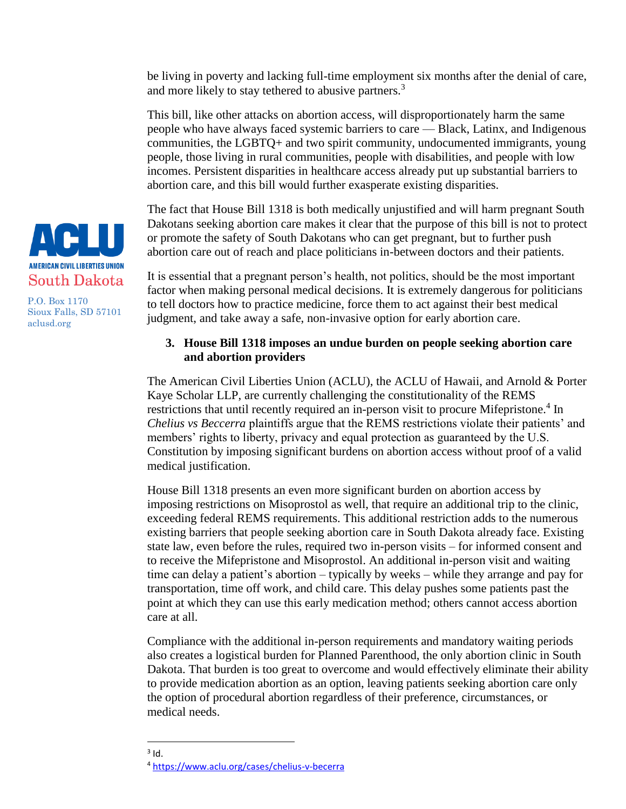be living in poverty and lacking full-time employment six months after the denial of care, and more likely to stay tethered to abusive partners.<sup>3</sup>

This bill, like other attacks on abortion access, will disproportionately harm the same people who have always faced systemic barriers to care — Black, Latinx, and Indigenous communities, the LGBTQ+ and two spirit community, undocumented immigrants, young people, those living in rural communities, people with disabilities, and people with low incomes. Persistent disparities in healthcare access already put up substantial barriers to abortion care, and this bill would further exasperate existing disparities.

The fact that House Bill 1318 is both medically unjustified and will harm pregnant South Dakotans seeking abortion care makes it clear that the purpose of this bill is not to protect or promote the safety of South Dakotans who can get pregnant, but to further push abortion care out of reach and place politicians in-between doctors and their patients.

It is essential that a pregnant person's health, not politics, should be the most important factor when making personal medical decisions. It is extremely dangerous for politicians to tell doctors how to practice medicine, force them to act against their best medical judgment, and take away a safe, non-invasive option for early abortion care.

## **3. House Bill 1318 imposes an undue burden on people seeking abortion care and abortion providers**

The American Civil Liberties Union (ACLU), the ACLU of Hawaii, and Arnold & Porter Kaye Scholar LLP, are currently challenging the constitutionality of the REMS restrictions that until recently required an in-person visit to procure Mifepristone.<sup>4</sup> In *Chelius vs Beccerra* plaintiffs argue that the REMS restrictions violate their patients' and members' rights to liberty, privacy and equal protection as guaranteed by the U.S. Constitution by imposing significant burdens on abortion access without proof of a valid medical justification.

House Bill 1318 presents an even more significant burden on abortion access by imposing restrictions on Misoprostol as well, that require an additional trip to the clinic, exceeding federal REMS requirements. This additional restriction adds to the numerous existing barriers that people seeking abortion care in South Dakota already face. Existing state law, even before the rules, required two in-person visits – for informed consent and to receive the Mifepristone and Misoprostol. An additional in-person visit and waiting time can delay a patient's abortion – typically by weeks – while they arrange and pay for transportation, time off work, and child care. This delay pushes some patients past the point at which they can use this early medication method; others cannot access abortion care at all.

Compliance with the additional in-person requirements and mandatory waiting periods also creates a logistical burden for Planned Parenthood, the only abortion clinic in South Dakota. That burden is too great to overcome and would effectively eliminate their ability to provide medication abortion as an option, leaving patients seeking abortion care only the option of procedural abortion regardless of their preference, circumstances, or medical needs.



P.O. Box 1170 Sioux Falls, SD 57101 aclusd.org

 $\overline{a}$  $3$  Id.

<sup>4</sup> <https://www.aclu.org/cases/chelius-v-becerra>